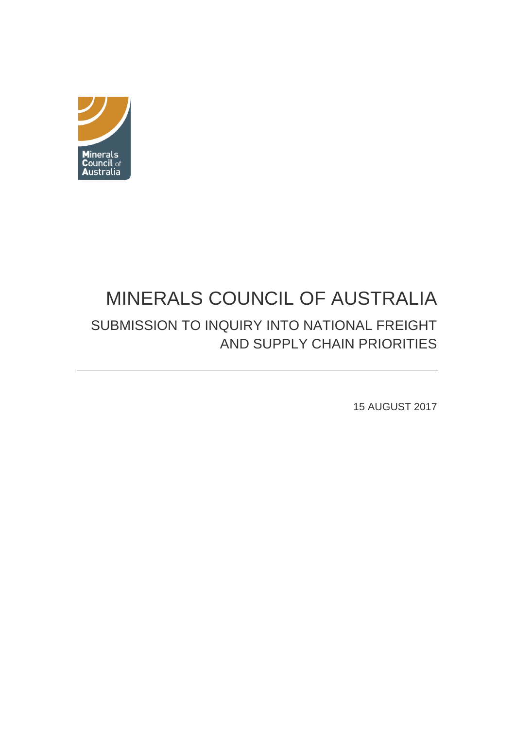

# <span id="page-0-0"></span>MINERALS COUNCIL OF AUSTRALIA SUBMISSION TO INQUIRY INTO NATIONAL FREIGHT AND SUPPLY CHAIN PRIORITIES

15 AUGUST 2017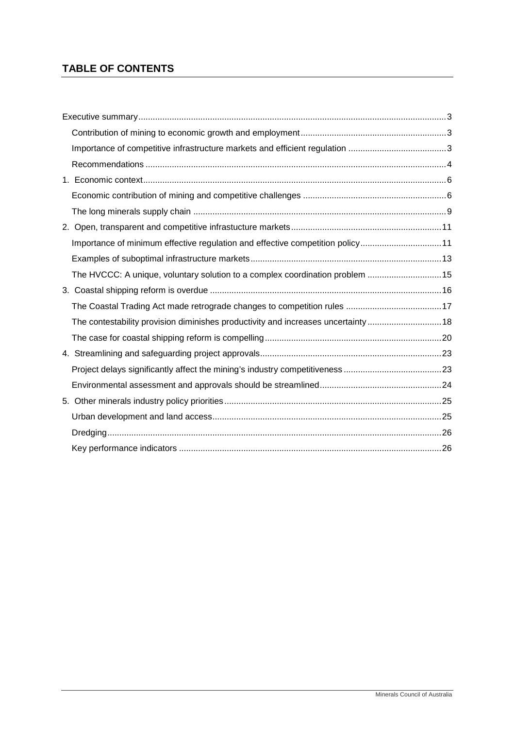## **TABLE OF CONTENTS**

|  | Importance of minimum effective regulation and effective competition policy11      |  |
|--|------------------------------------------------------------------------------------|--|
|  |                                                                                    |  |
|  | The HVCCC: A unique, voluntary solution to a complex coordination problem 15       |  |
|  |                                                                                    |  |
|  |                                                                                    |  |
|  | The contestability provision diminishes productivity and increases uncertainty  18 |  |
|  |                                                                                    |  |
|  |                                                                                    |  |
|  |                                                                                    |  |
|  |                                                                                    |  |
|  |                                                                                    |  |
|  |                                                                                    |  |
|  |                                                                                    |  |
|  |                                                                                    |  |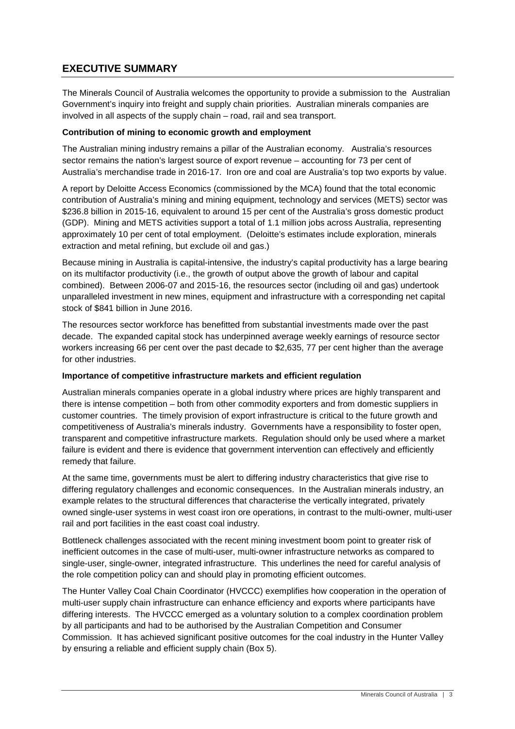## <span id="page-2-0"></span>**EXECUTIVE SUMMARY**

The Minerals Council of Australia welcomes the opportunity to provide a submission to the Australian Government's inquiry into freight and supply chain priorities. Australian minerals companies are involved in all aspects of the supply chain – road, rail and sea transport.

#### <span id="page-2-1"></span>**Contribution of mining to economic growth and employment**

The Australian mining industry remains a pillar of the Australian economy. Australia's resources sector remains the nation's largest source of export revenue – accounting for 73 per cent of Australia's merchandise trade in 2016-17. Iron ore and coal are Australia's top two exports by value.

A report by Deloitte Access Economics (commissioned by the MCA) found that the total economic contribution of Australia's mining and mining equipment, technology and services (METS) sector was \$236.8 billion in 2015-16, equivalent to around 15 per cent of the Australia's gross domestic product (GDP). Mining and METS activities support a total of 1.1 million jobs across Australia, representing approximately 10 per cent of total employment. (Deloitte's estimates include exploration, minerals extraction and metal refining, but exclude oil and gas.)

Because mining in Australia is capital-intensive, the industry's capital productivity has a large bearing on its multifactor productivity (i.e., the growth of output above the growth of labour and capital combined). Between 2006-07 and 2015-16, the resources sector (including oil and gas) undertook unparalleled investment in new mines, equipment and infrastructure with a corresponding net capital stock of \$841 billion in June 2016.

The resources sector workforce has benefitted from substantial investments made over the past decade. The expanded capital stock has underpinned average weekly earnings of resource sector workers increasing 66 per cent over the past decade to \$2,635, 77 per cent higher than the average for other industries.

#### <span id="page-2-2"></span>**Importance of competitive infrastructure markets and efficient regulation**

Australian minerals companies operate in a global industry where prices are highly transparent and there is intense competition – both from other commodity exporters and from domestic suppliers in customer countries. The timely provision of export infrastructure is critical to the future growth and competitiveness of Australia's minerals industry. Governments have a responsibility to foster open, transparent and competitive infrastructure markets. Regulation should only be used where a market failure is evident and there is evidence that government intervention can effectively and efficiently remedy that failure.

At the same time, governments must be alert to differing industry characteristics that give rise to differing regulatory challenges and economic consequences. In the Australian minerals industry, an example relates to the structural differences that characterise the vertically integrated, privately owned single-user systems in west coast iron ore operations, in contrast to the multi-owner, multi-user rail and port facilities in the east coast coal industry.

Bottleneck challenges associated with the recent mining investment boom point to greater risk of inefficient outcomes in the case of multi-user, multi-owner infrastructure networks as compared to single-user, single-owner, integrated infrastructure. This underlines the need for careful analysis of the role competition policy can and should play in promoting efficient outcomes.

The Hunter Valley Coal Chain Coordinator (HVCCC) exemplifies how cooperation in the operation of multi-user supply chain infrastructure can enhance efficiency and exports where participants have differing interests. The HVCCC emerged as a voluntary solution to a complex coordination problem by all participants and had to be authorised by the Australian Competition and Consumer Commission. It has achieved significant positive outcomes for the coal industry in the Hunter Valley by ensuring a reliable and efficient supply chain (Box 5).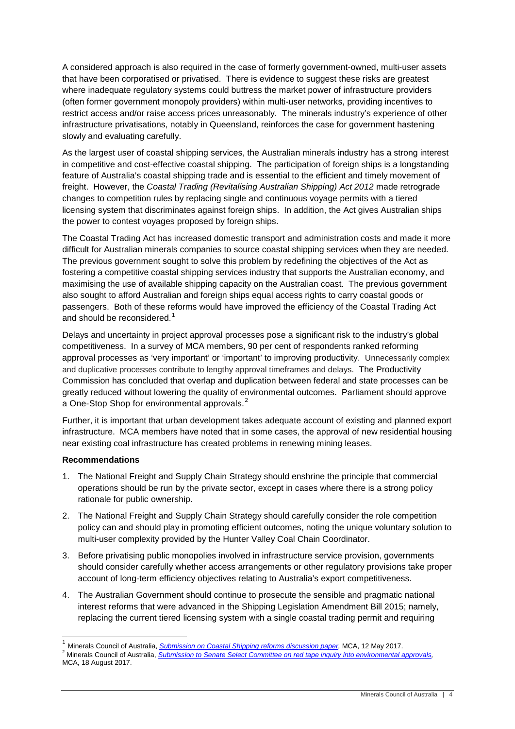A considered approach is also required in the case of formerly government-owned, multi-user assets that have been corporatised or privatised. There is evidence to suggest these risks are greatest where inadequate regulatory systems could buttress the market power of infrastructure providers (often former government monopoly providers) within multi-user networks, providing incentives to restrict access and/or raise access prices unreasonably. The minerals industry's experience of other infrastructure privatisations, notably in Queensland, reinforces the case for government hastening slowly and evaluating carefully.

As the largest user of coastal shipping services, the Australian minerals industry has a strong interest in competitive and cost-effective coastal shipping. The participation of foreign ships is a longstanding feature of Australia's coastal shipping trade and is essential to the efficient and timely movement of freight. However, the *Coastal Trading (Revitalising Australian Shipping) Act 2012* made retrograde changes to competition rules by replacing single and continuous voyage permits with a tiered licensing system that discriminates against foreign ships. In addition, the Act gives Australian ships the power to contest voyages proposed by foreign ships.

The Coastal Trading Act has increased domestic transport and administration costs and made it more difficult for Australian minerals companies to source coastal shipping services when they are needed. The previous government sought to solve this problem by redefining the objectives of the Act as fostering a competitive coastal shipping services industry that supports the Australian economy, and maximising the use of available shipping capacity on the Australian coast. The previous government also sought to afford Australian and foreign ships equal access rights to carry coastal goods or passengers. Both of these reforms would have improved the efficiency of the Coastal Trading Act and should be reconsidered. $1$ 

Delays and uncertainty in project approval processes pose a significant risk to the industry's global competitiveness. In a survey of MCA members, 90 per cent of respondents ranked reforming approval processes as 'very important' or 'important' to improving productivity. Unnecessarily complex and duplicative processes contribute to lengthy approval timeframes and delays. The Productivity Commission has concluded that overlap and duplication between federal and state processes can be greatly reduced without lowering the quality of environmental outcomes. Parliament should approve a One-Stop Shop for environmental approvals.<sup>[2](#page-3-1)</sup>

Further, it is important that urban development takes adequate account of existing and planned export infrastructure. MCA members have noted that in some cases, the approval of new residential housing near existing coal infrastructure has created problems in renewing mining leases.

#### <span id="page-3-0"></span>**Recommendations**

- 1. The National Freight and Supply Chain Strategy should enshrine the principle that commercial operations should be run by the private sector, except in cases where there is a strong policy rationale for public ownership.
- 2. The National Freight and Supply Chain Strategy should carefully consider the role competition policy can and should play in promoting efficient outcomes, noting the unique voluntary solution to multi-user complexity provided by the Hunter Valley Coal Chain Coordinator.
- 3. Before privatising public monopolies involved in infrastructure service provision, governments should consider carefully whether access arrangements or other regulatory provisions take proper account of long-term efficiency objectives relating to Australia's export competitiveness.
- 4. The Australian Government should continue to prosecute the sensible and pragmatic national interest reforms that were advanced in the Shipping Legislation Amendment Bill 2015; namely, replacing the current tiered licensing system with a single coastal trading permit and requiring

<span id="page-3-2"></span><span id="page-3-1"></span><sup>&</sup>lt;sup>1</sup> Minerals Council of Australia, *Submission on Coastal Shipping reforms discussion paper*, MCA, 12 May 2017.<br><sup>2</sup> Minerals Council of Australia, *Submission to Senate Select Committe<u>e on red tape inquiry into environmen*</u> MCA, 18 August 2017.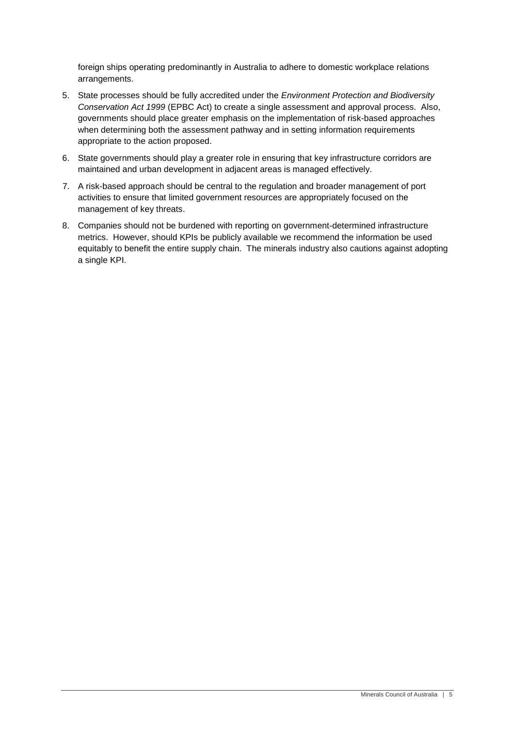foreign ships operating predominantly in Australia to adhere to domestic workplace relations arrangements.

- 5. State processes should be fully accredited under the *Environment Protection and Biodiversity Conservation Act 1999* (EPBC Act) to create a single assessment and approval process. Also, governments should place greater emphasis on the implementation of risk-based approaches when determining both the assessment pathway and in setting information requirements appropriate to the action proposed.
- 6. State governments should play a greater role in ensuring that key infrastructure corridors are maintained and urban development in adjacent areas is managed effectively.
- 7. A risk-based approach should be central to the regulation and broader management of port activities to ensure that limited government resources are appropriately focused on the management of key threats.
- 8. Companies should not be burdened with reporting on government-determined infrastructure metrics. However, should KPIs be publicly available we recommend the information be used equitably to benefit the entire supply chain. The minerals industry also cautions against adopting a single KPI.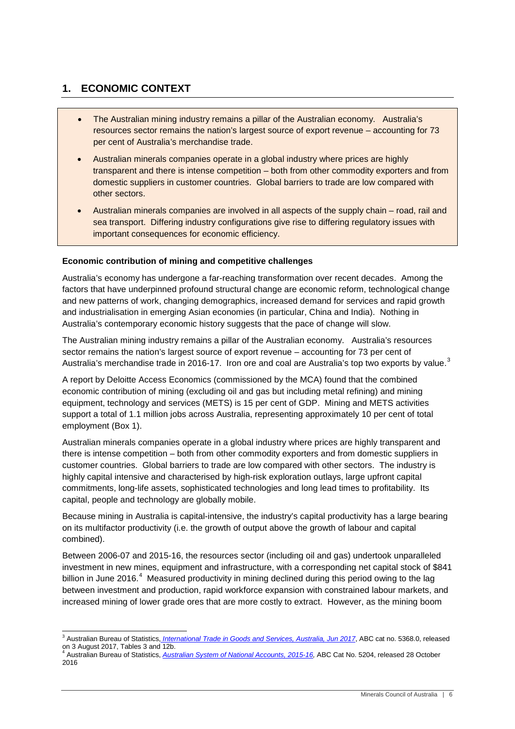### <span id="page-5-0"></span>**1. ECONOMIC CONTEXT**

- The Australian mining industry remains a pillar of the Australian economy. Australia's resources sector remains the nation's largest source of export revenue – accounting for 73 per cent of Australia's merchandise trade.
- Australian minerals companies operate in a global industry where prices are highly transparent and there is intense competition – both from other commodity exporters and from domestic suppliers in customer countries. Global barriers to trade are low compared with other sectors.
- Australian minerals companies are involved in all aspects of the supply chain road, rail and sea transport. Differing industry configurations give rise to differing regulatory issues with important consequences for economic efficiency.

#### <span id="page-5-1"></span>**Economic contribution of mining and competitive challenges**

Australia's economy has undergone a far-reaching transformation over recent decades. Among the factors that have underpinned profound structural change are economic reform, technological change and new patterns of work, changing demographics, increased demand for services and rapid growth and industrialisation in emerging Asian economies (in particular, China and India). Nothing in Australia's contemporary economic history suggests that the pace of change will slow.

The Australian mining industry remains a pillar of the Australian economy. Australia's resources sector remains the nation's largest source of export revenue – accounting for 73 per cent of Australia's merchandise trade in 2016-17. Iron ore and coal are Australia's top two exports by value.<sup>[3](#page-3-2)</sup>

A report by Deloitte Access Economics (commissioned by the MCA) found that the combined economic contribution of mining (excluding oil and gas but including metal refining) and mining equipment, technology and services (METS) is 15 per cent of GDP. Mining and METS activities support a total of 1.1 million jobs across Australia, representing approximately 10 per cent of total employment (Box 1).

Australian minerals companies operate in a global industry where prices are highly transparent and there is intense competition – both from other commodity exporters and from domestic suppliers in customer countries. Global barriers to trade are low compared with other sectors. The industry is highly capital intensive and characterised by high-risk exploration outlays, large upfront capital commitments, long-life assets, sophisticated technologies and long lead times to profitability. Its capital, people and technology are globally mobile.

Because mining in Australia is capital-intensive, the industry's capital productivity has a large bearing on its multifactor productivity (i.e. the growth of output above the growth of labour and capital combined).

Between 2006-07 and 2015-16, the resources sector (including oil and gas) undertook unparalleled investment in new mines, equipment and infrastructure, with a corresponding net capital stock of \$841 billion in June 2016.<sup>[4](#page-5-2)</sup> Measured productivity in mining declined during this period owing to the lag between investment and production, rapid workforce expansion with constrained labour markets, and increased mining of lower grade ores that are more costly to extract. However, as the mining boom

<span id="page-5-3"></span><sup>&</sup>lt;sup>3</sup> Australian Bureau of Statistics, *[International Trade in Goods and Services, Australia, Jun 2017](http://www.abs.gov.au/AUSSTATS/abs@.nsf/DetailsPage/5368.0Jun%202017?OpenDocument)*, ABC cat no. 5368.0, released on 3 August 2017, Tables 3 and 12b. <sup>4</sup> Australian Bureau of Statistics, *[Australian System of National Accounts, 2015-16,](http://www.abs.gov.au/AusStats/ABS@.nsf/MF/5204.0)* ABC Cat No. 5204, released 28 October

<span id="page-5-2"></span><sup>2016</sup>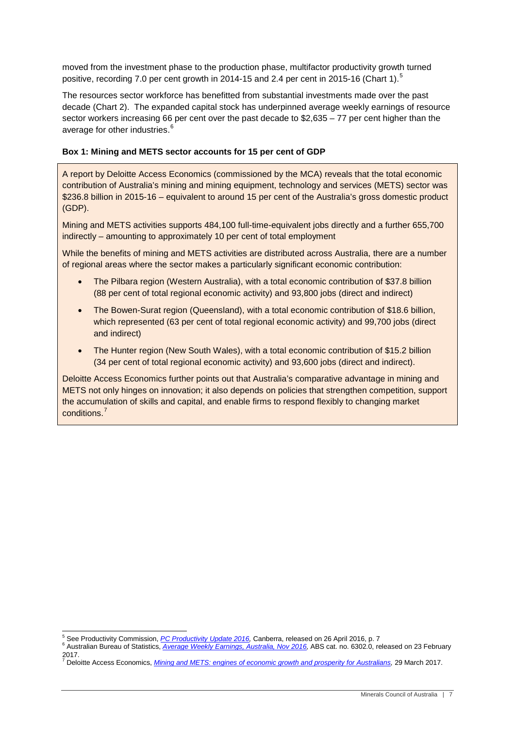moved from the investment phase to the production phase, multifactor productivity growth turned positive, recording 7.0 per cent growth in 2014-1[5](#page-5-3) and 2.4 per cent in 2015-16 (Chart 1).<sup>5</sup>

The resources sector workforce has benefitted from substantial investments made over the past decade [\(Chart](#page-8-1) 2). The expanded capital stock has underpinned average weekly earnings of resource sector workers increasing 66 per cent over the past decade to \$2,635 – 77 per cent higher than the average for other industries.<sup>[6](#page-6-0)</sup>

#### **Box 1: Mining and METS sector accounts for 15 per cent of GDP**

A report by Deloitte Access Economics (commissioned by the MCA) reveals that the total economic contribution of Australia's mining and mining equipment, technology and services (METS) sector was \$236.8 billion in 2015-16 – equivalent to around 15 per cent of the Australia's gross domestic product (GDP).

Mining and METS activities supports 484,100 full-time-equivalent jobs directly and a further 655,700 indirectly – amounting to approximately 10 per cent of total employment

While the benefits of mining and METS activities are distributed across Australia, there are a number of regional areas where the sector makes a particularly significant economic contribution:

- The Pilbara region (Western Australia), with a total economic contribution of \$37.8 billion (88 per cent of total regional economic activity) and 93,800 jobs (direct and indirect)
- The Bowen-Surat region (Queensland), with a total economic contribution of \$18.6 billion, which represented (63 per cent of total regional economic activity) and 99,700 jobs (direct and indirect)
- The Hunter region (New South Wales), with a total economic contribution of \$15.2 billion (34 per cent of total regional economic activity) and 93,600 jobs (direct and indirect).

Deloitte Access Economics further points out that Australia's comparative advantage in mining and METS not only hinges on innovation; it also depends on policies that strengthen competition, support the accumulation of skills and capital, and enable firms to respond flexibly to changing market conditions. [7](#page-6-1)

<span id="page-6-0"></span><sup>&</sup>lt;sup>5</sup> See Productivity Commission, *[PC Productivity Update 2016,](http://www.pc.gov.au/research/ongoing/productivity-update/pc-productivity-update-2016/productivity-update-2016.pdf)* Canberra, released on 26 April 2016, p. 7<br><sup>6</sup> Australian Bureau of Statistics, *Average Weekly Earnings, Australia, Nov 2016,* ABS cat. no. 6302.0, released o 2017.

<span id="page-6-1"></span><sup>7</sup> Deloitte Access Economics, *[Mining and METS: engines of economic growth and prosperity for Australians,](http://www.minerals.org.au/file_upload/files/reports/Mining_and_METS_engines_of_economic_growth_and_prosperity_for_Australians.pdf)* 29 March 2017.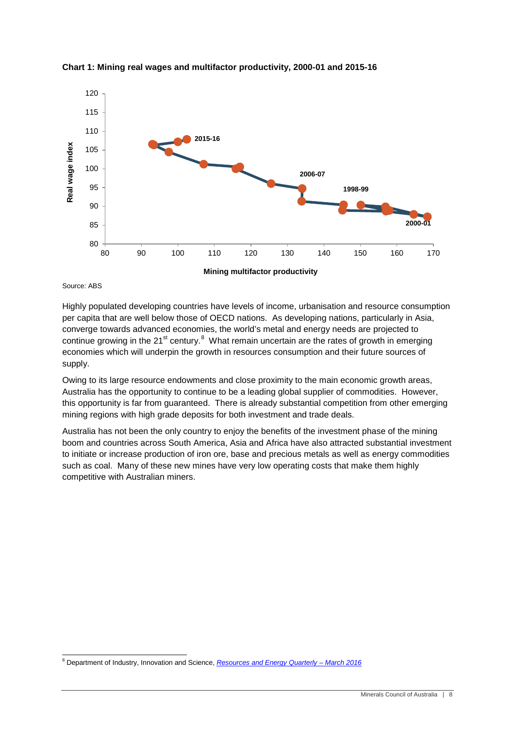

**Chart 1: Mining real wages and multifactor productivity, 2000-01 and 2015-16**

Source: ABS

Highly populated developing countries have levels of income, urbanisation and resource consumption per capita that are well below those of OECD nations. As developing nations, particularly in Asia, converge towards advanced economies, the world's metal and energy needs are projected to continue growing in the 21<sup>st</sup> century.<sup>[8](#page-6-1)</sup> What remain uncertain are the rates of growth in emerging economies which will underpin the growth in resources consumption and their future sources of supply.

Owing to its large resource endowments and close proximity to the main economic growth areas, Australia has the opportunity to continue to be a leading global supplier of commodities. However, this opportunity is far from guaranteed. There is already substantial competition from other emerging mining regions with high grade deposits for both investment and trade deals.

Australia has not been the only country to enjoy the benefits of the investment phase of the mining boom and countries across South America, Asia and Africa have also attracted substantial investment to initiate or increase production of iron ore, base and precious metals as well as energy commodities such as coal. Many of these new mines have very low operating costs that make them highly competitive with Australian miners.

<span id="page-7-0"></span> <sup>8</sup> Department of Industry, Innovation and Science, *[Resources and Energy Quarterly –](https://industry.gov.au/Office-of-the-Chief-Economist/Publications/Pages/Resources-and-energy-quarterly.aspx) March 2016*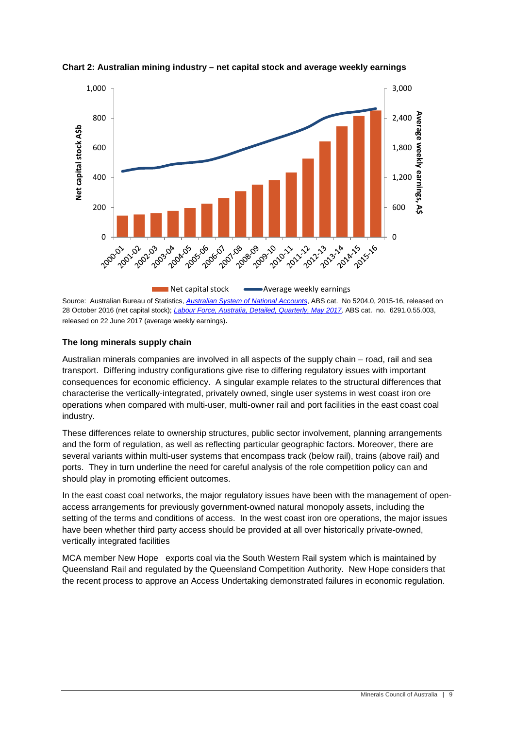

<span id="page-8-1"></span>**Chart 2: Australian mining industry – net capital stock and average weekly earnings**

Source: Australian Bureau of Statistics, *[Australian System of National Accounts](http://www.abs.gov.au/AusStats/ABS@.nsf/MF/5204.0)*, ABS cat. No 5204.0, 2015-16, released on 28 October 2016 (net capital stock); *[Labour Force, Australia, Detailed, Quarterly, May 2017,](http://www.abs.gov.au/AUSSTATS/abs@.nsf/second+level+view?ReadForm&prodno=6291.0.55.003&viewtitle=Labour%20Force,%20Australia,%20Detailed,%20Quarterly~Feb%202016~Previous~24/03/2016&&tabname=Past%20Future%20Issues&prodno=6291.0.55.003&issue=Feb%202016&num=&view=&)* ABS cat. no. 6291.0.55.003, released on 22 June 2017 (average weekly earnings).

#### <span id="page-8-0"></span>**The long minerals supply chain**

Australian minerals companies are involved in all aspects of the supply chain – road, rail and sea transport. Differing industry configurations give rise to differing regulatory issues with important consequences for economic efficiency. A singular example relates to the structural differences that characterise the vertically-integrated, privately owned, single user systems in west coast iron ore operations when compared with multi-user, multi-owner rail and port facilities in the east coast coal industry.

These differences relate to ownership structures, public sector involvement, planning arrangements and the form of regulation, as well as reflecting particular geographic factors. Moreover, there are several variants within multi-user systems that encompass track (below rail), trains (above rail) and ports. They in turn underline the need for careful analysis of the role competition policy can and should play in promoting efficient outcomes.

In the east coast coal networks, the major regulatory issues have been with the management of openaccess arrangements for previously government-owned natural monopoly assets, including the setting of the terms and conditions of access. In the west coast iron ore operations, the major issues have been whether third party access should be provided at all over historically private-owned, vertically integrated facilities

MCA member New Hope exports coal via the South Western Rail system which is maintained by Queensland Rail and regulated by the Queensland Competition Authority. New Hope considers that the recent process to approve an Access Undertaking demonstrated failures in economic regulation.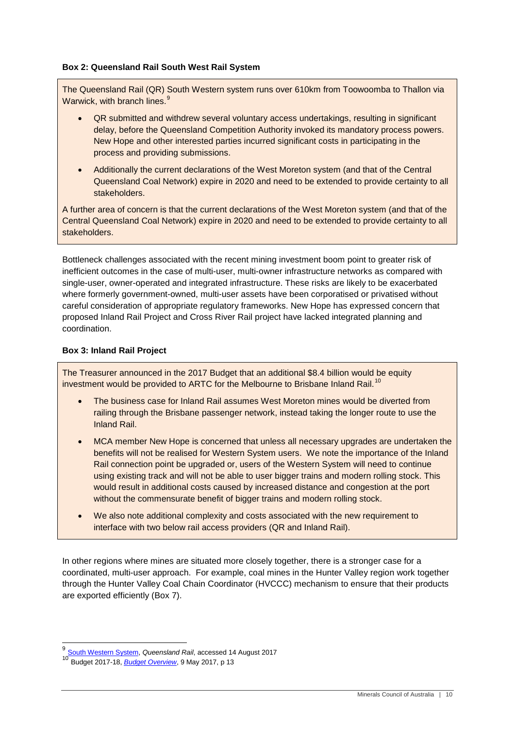#### **Box 2: Queensland Rail South West Rail System**

The Queensland Rail (QR) South Western system runs over 610km from Toowoomba to Thallon via Warwick, with branch lines.<sup>[9](#page-7-0)</sup>

- QR submitted and withdrew several voluntary access undertakings, resulting in significant delay, before the Queensland Competition Authority invoked its mandatory process powers. New Hope and other interested parties incurred significant costs in participating in the process and providing submissions.
- Additionally the current declarations of the West Moreton system (and that of the Central Queensland Coal Network) expire in 2020 and need to be extended to provide certainty to all stakeholders.

A further area of concern is that the current declarations of the West Moreton system (and that of the Central Queensland Coal Network) expire in 2020 and need to be extended to provide certainty to all stakeholders.

Bottleneck challenges associated with the recent mining investment boom point to greater risk of inefficient outcomes in the case of multi-user, multi-owner infrastructure networks as compared with single-user, owner-operated and integrated infrastructure. These risks are likely to be exacerbated where formerly government-owned, multi-user assets have been corporatised or privatised without careful consideration of appropriate regulatory frameworks. New Hope has expressed concern that proposed Inland Rail Project and Cross River Rail project have lacked integrated planning and coordination.

#### **Box 3: Inland Rail Project**

The Treasurer announced in the 2017 Budget that an additional \$8.4 billion would be equity investment would be provided to ARTC for the Melbourne to Brisbane Inland Rail.<sup>10</sup>

- The business case for Inland Rail assumes West Moreton mines would be diverted from railing through the Brisbane passenger network, instead taking the longer route to use the Inland Rail.
- MCA member New Hope is concerned that unless all necessary upgrades are undertaken the benefits will not be realised for Western System users. We note the importance of the Inland Rail connection point be upgraded or, users of the Western System will need to continue using existing track and will not be able to user bigger trains and modern rolling stock. This would result in additional costs caused by increased distance and congestion at the port without the commensurate benefit of bigger trains and modern rolling stock.
- We also note additional complexity and costs associated with the new requirement to interface with two below rail access providers (QR and Inland Rail).

In other regions where mines are situated more closely together, there is a stronger case for a coordinated, multi-user approach. For example, coal mines in the Hunter Valley region work together through the Hunter Valley Coal Chain Coordinator (HVCCC) mechanism to ensure that their products are exported efficiently (Box 7).

<span id="page-9-1"></span><span id="page-9-0"></span> <sup>9</sup> [South Western System,](https://www.queenslandrail.com.au/forbusiness/the-regional-network/south-western-system) *Queensland Rail*, accessed 14 August <sup>2017</sup>

<sup>10</sup> Budget 2017-18, *[Budget Overview](http://budget.gov.au/2017-18/content/glossies/overview/download/Budget2017-18-Overview.pdf)*, 9 May 2017, p 13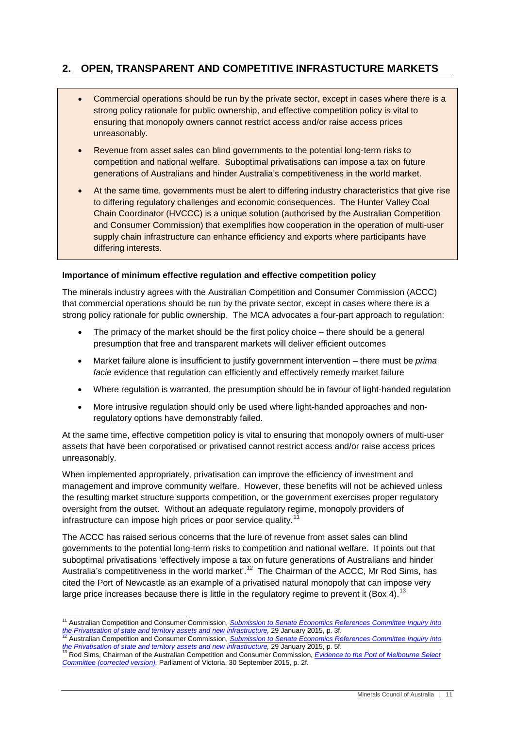## <span id="page-10-0"></span>**2. OPEN, TRANSPARENT AND COMPETITIVE INFRASTUCTURE MARKETS**

- Commercial operations should be run by the private sector, except in cases where there is a strong policy rationale for public ownership, and effective competition policy is vital to ensuring that monopoly owners cannot restrict access and/or raise access prices unreasonably.
- Revenue from asset sales can blind governments to the potential long-term risks to competition and national welfare. Suboptimal privatisations can impose a tax on future generations of Australians and hinder Australia's competitiveness in the world market.
- At the same time, governments must be alert to differing industry characteristics that give rise to differing regulatory challenges and economic consequences. The Hunter Valley Coal Chain Coordinator (HVCCC) is a unique solution (authorised by the Australian Competition and Consumer Commission) that exemplifies how cooperation in the operation of multi-user supply chain infrastructure can enhance efficiency and exports where participants have differing interests.

#### <span id="page-10-1"></span>**Importance of minimum effective regulation and effective competition policy**

The minerals industry agrees with the Australian Competition and Consumer Commission (ACCC) that commercial operations should be run by the private sector, except in cases where there is a strong policy rationale for public ownership. The MCA advocates a four-part approach to regulation:

- The primacy of the market should be the first policy choice there should be a general presumption that free and transparent markets will deliver efficient outcomes
- Market failure alone is insufficient to justify government intervention there must be *prima facie* evidence that regulation can efficiently and effectively remedy market failure
- Where regulation is warranted, the presumption should be in favour of light-handed regulation
- More intrusive regulation should only be used where light-handed approaches and nonregulatory options have demonstrably failed.

At the same time, effective competition policy is vital to ensuring that monopoly owners of multi-user assets that have been corporatised or privatised cannot restrict access and/or raise access prices unreasonably.

When implemented appropriately, privatisation can improve the efficiency of investment and management and improve community welfare. However, these benefits will not be achieved unless the resulting market structure supports competition, or the government exercises proper regulatory oversight from the outset. Without an adequate regulatory regime, monopoly providers of infrastructure can impose high prices or poor service quality.<sup>[11](#page-9-1)</sup>

<span id="page-10-4"></span>The ACCC has raised serious concerns that the lure of revenue from asset sales can blind governments to the potential long-term risks to competition and national welfare. It points out that suboptimal privatisations 'effectively impose a tax on future generations of Australians and hinder Australia's competitiveness in the world market'.<sup>12</sup> The Chairman of the ACCC, Mr Rod Sims, has cited the Port of Newcastle as an example of a privatised natural monopoly that can impose very large price increases because there is little in the regulatory regime to prevent it (Box 4).<sup>[13](#page-10-3)</sup>

<sup>&</sup>lt;sup>11</sup> Australian Competition and Consumer Commission, *Submission to Senate Economics References Committee Inquiry into* the Privatisation of state and territory assets and new infrastructure, 29 January 2015, p. 3f.

<span id="page-10-2"></span>Australian Competition and Consumer Commission, Submission to Senate Economics References Committee Inquiry into [the Privatisation of state and territory assets and new infrastructure,](http://www.aph.gov.au/Parliamentary_Business/Committees/Senate/Economics/Privatisation_2014/Submissions) 29 January 2015, p. 5f.<br><sup>13</sup> Rod Sims, Chairman of the Australian Competition and Consumer Commission, *Evidence to the Port of Melbourne Select* 

<span id="page-10-3"></span>*[Committee \(corrected version\),](http://www.parliament.vic.gov.au/images/stories/committees/pomsc/Transcripts/Corrected_ACCC.pdf)* Parliament of Victoria, 30 September 2015, p. 2f.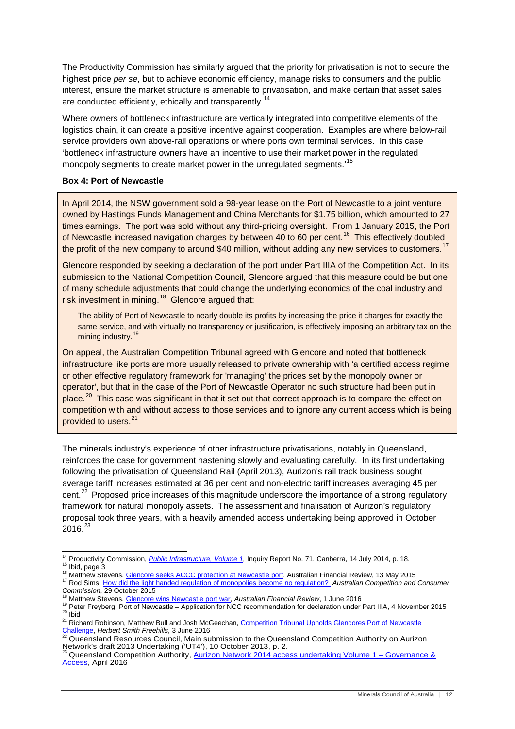The Productivity Commission has similarly argued that the priority for privatisation is not to secure the highest price *per se*, but to achieve economic efficiency, manage risks to consumers and the public interest, ensure the market structure is amenable to privatisation, and make certain that asset sales are conducted efficiently, ethically and transparently.<sup>[14](#page-10-4)</sup>

Where owners of bottleneck infrastructure are vertically integrated into competitive elements of the logistics chain, it can create a positive incentive against cooperation. Examples are where below-rail service providers own above-rail operations or where ports own terminal services. In this case 'bottleneck infrastructure owners have an incentive to use their market power in the regulated monopoly segments to create market power in the unregulated segments.<sup>[15](#page-11-0)</sup>

#### **Box 4: Port of Newcastle**

In April 2014, the NSW government sold a 98-year lease on the Port of Newcastle to a joint venture owned by Hastings Funds Management and China Merchants for \$1.75 billion, which amounted to 27 times earnings. The port was sold without any third-pricing oversight. From 1 January 2015, the Port of Newcastle increased navigation charges by between 40 to 60 per cent.<sup>[16](#page-11-1)</sup> This effectively doubled the profit of the new company to around \$40 million, without adding any new services to customers.<sup>[17](#page-11-2)</sup>

Glencore responded by seeking a declaration of the port under Part IIIA of the Competition Act. In its submission to the National Competition Council, Glencore argued that this measure could be but one of many schedule adjustments that could change the underlying economics of the coal industry and risk investment in mining.<sup>[18](#page-11-3)</sup> Glencore argued that:

The ability of Port of Newcastle to nearly double its profits by increasing the price it charges for exactly the same service, and with virtually no transparency or justification, is effectively imposing an arbitrary tax on the mining industry.<sup>[19](#page-11-4)</sup>

On appeal, the Australian Competition Tribunal agreed with Glencore and noted that bottleneck infrastructure like ports are more usually released to private ownership with 'a certified access regime or other effective regulatory framework for 'managing' the prices set by the monopoly owner or operator', but that in the case of the Port of Newcastle Operator no such structure had been put in place.<sup>[20](#page-11-5)</sup> This case was significant in that it set out that correct approach is to compare the effect on competition with and without access to those services and to ignore any current access which is being provided to users.<sup>[21](#page-11-6)</sup>

The minerals industry's experience of other infrastructure privatisations, notably in Queensland, reinforces the case for government hastening slowly and evaluating carefully. In its first undertaking following the privatisation of Queensland Rail (April 2013), Aurizon's rail track business sought average tariff increases estimated at 36 per cent and non-electric tariff increases averaging 45 per cent.<sup>[22](#page-11-7)</sup> Proposed price increases of this magnitude underscore the importance of a strong regulatory framework for natural monopoly assets. The assessment and finalisation of Aurizon's regulatory proposal took three years, with a heavily amended access undertaking being approved in October  $2016.<sup>23</sup>$  $2016.<sup>23</sup>$  $2016.<sup>23</sup>$ 

<span id="page-11-1"></span>

<span id="page-11-0"></span><sup>&</sup>lt;sup>14</sup> Productivity Commission, *[Public Infrastructure, Volume 1,](http://www.pc.gov.au/__data/assets/pdf_file/0003/137280/infrastructure-volume1.pdf)* Inquiry Report No. 71, Canberra, 14 July 2014, p. 18.<br><sup>15</sup> Ibid, page 3<br><sup>16</sup> Matthew Stevens, <u>Glencore seeks ACCC protection at Newcastle port</u>, Australian

<span id="page-11-4"></span><span id="page-11-3"></span><span id="page-11-2"></span><sup>&</sup>lt;sup>18</sup> Matthew Stevens, <u>Glencore wins Newcastle port war</u>, *Australian Financial Review*, 1 June 2016<br><sup>19</sup> Peter Freyberg, Port of Newcastle - Application for NCC recommendation for declaration under Part IIIA, 4 November

<span id="page-11-6"></span><span id="page-11-5"></span>

<span id="page-11-9"></span><span id="page-11-7"></span>Queensland Resources Council, Main submission to the Queensland Competition Authority on Aurizon [Network's draft 2013 Undertaking \('UT4'\),](http://www.qca.org.au/getattachment/c5ddd8e4-2bdc-4371-a70c-bca603500a46/QRC-Submission-to-the-QCA-(Oct-13).aspx) 10 October 2013, p. 2.<br><sup>23</sup> Queensland Competition Authority[, Aurizon Network 2014 access undertaking Volume 1 –](http://www.qca.org.au/getattachment/5b1c0a71-295d-46df-8aed-fa198c6e4a0b/QCA-UT4-Final-Decision-Volume-I-Governance-a.aspx) Governance &

<span id="page-11-8"></span>[Access,](http://www.qca.org.au/getattachment/5b1c0a71-295d-46df-8aed-fa198c6e4a0b/QCA-UT4-Final-Decision-Volume-I-Governance-a.aspx) April 2016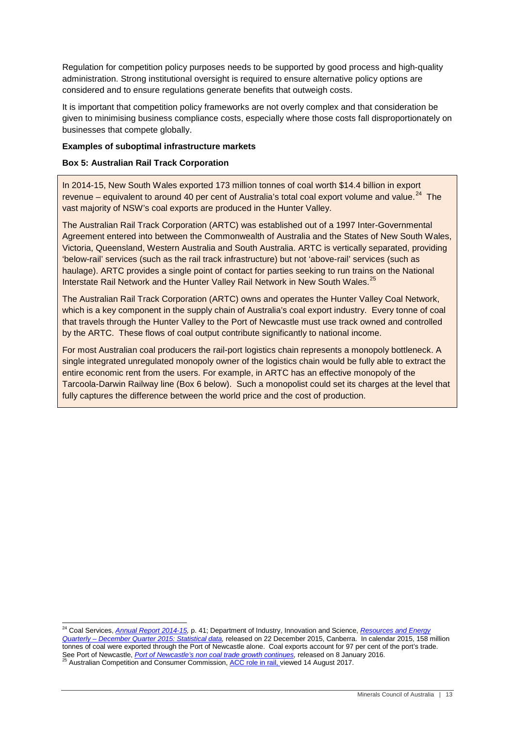Regulation for competition policy purposes needs to be supported by good process and high-quality administration. Strong institutional oversight is required to ensure alternative policy options are considered and to ensure regulations generate benefits that outweigh costs.

It is important that competition policy frameworks are not overly complex and that consideration be given to minimising business compliance costs, especially where those costs fall disproportionately on businesses that compete globally.

#### <span id="page-12-0"></span>**Examples of suboptimal infrastructure markets**

#### **Box 5: Australian Rail Track Corporation**

In 2014-15, New South Wales exported 173 million tonnes of coal worth \$14.4 billion in export revenue – equivalent to around 40 per cent of Australia's total coal export volume and value.<sup>24</sup> The vast majority of NSW's coal exports are produced in the Hunter Valley.

The Australian Rail Track Corporation (ARTC) was established out of a 1997 Inter-Governmental Agreement entered into between the Commonwealth of Australia and the States of New South Wales, Victoria, Queensland, Western Australia and South Australia. ARTC is vertically separated, providing 'below-rail' services (such as the rail track infrastructure) but not 'above-rail' services (such as haulage). ARTC provides a single point of contact for parties seeking to run trains on the National Interstate Rail Network and the Hunter Valley Rail Network in New South Wales.<sup>[25](#page-12-1)</sup>

The Australian Rail Track Corporation (ARTC) owns and operates the Hunter Valley Coal Network, which is a key component in the supply chain of Australia's coal export industry. Every tonne of coal that travels through the Hunter Valley to the Port of Newcastle must use track owned and controlled by the ARTC. These flows of coal output contribute significantly to national income.

For most Australian coal producers the rail-port logistics chain represents a monopoly bottleneck. A single integrated unregulated monopoly owner of the logistics chain would be fully able to extract the entire economic rent from the users. For example, in ARTC has an effective monopoly of the Tarcoola-Darwin Railway line (Box 6 below). Such a monopolist could set its charges at the level that fully captures the difference between the world price and the cost of production.

<span id="page-12-2"></span><span id="page-12-1"></span> <sup>24</sup> Coal Services, *[Annual Report 2014-15,](http://www.coalservices.com.au/MessageForceWebsite/Sites/340/Files/Coal%20Services%20Annual%20Report%202014%20-%202015.pdf.zip)* p. 41; Department of Industry, Innovation and Science, *[Resources and Energy](http://www.industry.gov.au/Office-of-the-Chief-Economist/Publications/Documents/req/REQstats-tables-Dec-2015.xlsx)  Quarterly – [December Quarter 2015: Statistical data,](http://www.industry.gov.au/Office-of-the-Chief-Economist/Publications/Documents/req/REQstats-tables-Dec-2015.xlsx)* released on 22 December 2015, Canberra. In calendar 2015, 158 million tonnes of coal were exported through the Port of Newcastle alone. Coal exports account for 97 per cent of the port's trade. See Port of Newcastle, *Port of Newcastle's non coal trade growth continues*, released on 8 January 2016.<br><sup>25</sup> Australian Competition and Consumer Commission, <u>ACC role in rail,</u> viewed 14 August 2017.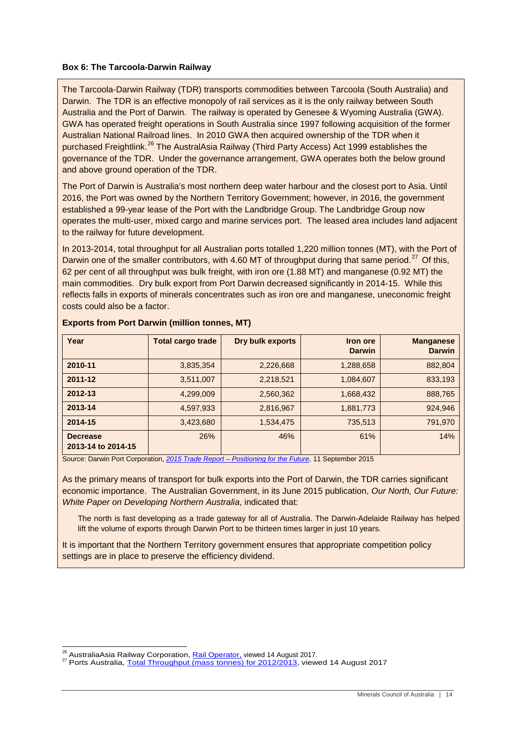#### **Box 6: The Tarcoola-Darwin Railway**

The Tarcoola-Darwin Railway (TDR) transports commodities between Tarcoola (South Australia) and Darwin. The TDR is an effective monopoly of rail services as it is the only railway between South Australia and the Port of Darwin. The railway is operated by Genesee & Wyoming Australia (GWA). GWA has operated freight operations in South Australia since 1997 following acquisition of the former Australian National Railroad lines. In 2010 GWA then acquired ownership of the TDR when it purchased Freightlink.<sup>[26](#page-12-2)</sup> The AustralAsia Railway (Third Party Access) Act 1999 establishes the governance of the TDR. Under the governance arrangement, GWA operates both the below ground and above ground operation of the TDR.

The Port of Darwin is Australia's most northern deep water harbour and the closest port to Asia. Until 2016, the Port was owned by the Northern Territory Government; however, in 2016, the government established a 99-year lease of the Port with the Landbridge Group. The Landbridge Group now operates the multi-user, mixed cargo and marine services port. The leased area includes land adjacent to the railway for future development.

In 2013-2014, total throughput for all Australian ports totalled 1,220 million tonnes (MT), with the Port of Darwin one of the smaller contributors, with 4.60 MT of throughput during that same period.<sup>[27](#page-13-0)</sup> Of this, 62 per cent of all throughput was bulk freight, with iron ore (1.88 MT) and manganese (0.92 MT) the main commodities. Dry bulk export from Port Darwin decreased significantly in 2014-15. While this reflects falls in exports of minerals concentrates such as iron ore and manganese, uneconomic freight costs could also be a factor.

| Year                                  | <b>Total cargo trade</b> | Dry bulk exports | <b>Iron ore</b><br><b>Darwin</b> | <b>Manganese</b><br><b>Darwin</b> |
|---------------------------------------|--------------------------|------------------|----------------------------------|-----------------------------------|
| 2010-11                               | 3,835,354                | 2,226,668        | 1,288,658                        | 882,804                           |
| 2011-12                               | 3,511,007                | 2,218,521        | 1,084,607                        | 833,193                           |
| 2012-13                               | 4,299,009                | 2,560,362        | 1,668,432                        | 888,765                           |
| 2013-14                               | 4,597,933                | 2,816,967        | 1,881,773                        | 924,946                           |
| 2014-15                               | 3,423,680                | 1,534,475        | 735,513                          | 791,970                           |
| <b>Decrease</b><br>2013-14 to 2014-15 | 26%                      | 46%              | 61%                              | 14%                               |

#### **Exports from Port Darwin (million tonnes, MT)**

Source: Darwin Port Corporation, *2015 Trade Report – Positioning for the Future*, 11 September 2015

As the primary means of transport for bulk exports into the Port of Darwin, the TDR carries significant economic importance. The Australian Government, in its June 2015 publication, *Our North, Our Future: White Paper on Developing Northern Australia*, indicated that:

The north is fast developing as a trade gateway for all of Australia. The Darwin-Adelaide Railway has helped lift the volume of exports through Darwin Port to be thirteen times larger in just 10 years.

It is important that the Northern Territory government ensures that appropriate competition policy settings are in place to preserve the efficiency dividend.

<span id="page-13-1"></span><span id="page-13-0"></span><sup>&</sup>lt;sup>26</sup> AustraliaAsia Railway Corporation, <u>Rail Operator,</u> viewed 14 August 2017.<br><sup>27</sup> Ports Australia, <u>Total Throughput (mass tonnes) for 2012/2013</u>, viewed 14 August 2017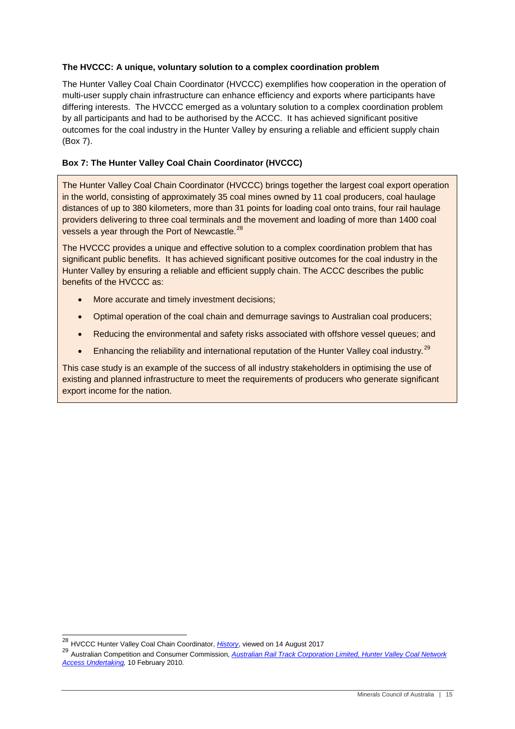#### <span id="page-14-0"></span>**The HVCCC: A unique, voluntary solution to a complex coordination problem**

The Hunter Valley Coal Chain Coordinator (HVCCC) exemplifies how cooperation in the operation of multi-user supply chain infrastructure can enhance efficiency and exports where participants have differing interests. The HVCCC emerged as a voluntary solution to a complex coordination problem by all participants and had to be authorised by the ACCC. It has achieved significant positive outcomes for the coal industry in the Hunter Valley by ensuring a reliable and efficient supply chain (Box 7).

#### **Box 7: The Hunter Valley Coal Chain Coordinator (HVCCC)**

The Hunter Valley Coal Chain Coordinator (HVCCC) brings together the largest coal export operation in the world, consisting of approximately 35 coal mines owned by 11 coal producers, coal haulage distances of up to 380 kilometers, more than 31 points for loading coal onto trains, four rail haulage providers delivering to three coal terminals and the movement and loading of more than 1400 coal vessels a year through the Port of Newcastle.<sup>[28](#page-13-1)</sup>

The HVCCC provides a unique and effective solution to a complex coordination problem that has significant public benefits. It has achieved significant positive outcomes for the coal industry in the Hunter Valley by ensuring a reliable and efficient supply chain. The ACCC describes the public benefits of the HVCCC as:

- More accurate and timely investment decisions;
- Optimal operation of the coal chain and demurrage savings to Australian coal producers;
- Reducing the environmental and safety risks associated with offshore vessel queues; and
- Enhancing the reliability and international reputation of the Hunter Valley coal industry.<sup>[29](#page-14-1)</sup>

This case study is an example of the success of all industry stakeholders in optimising the use of existing and planned infrastructure to meet the requirements of producers who generate significant export income for the nation.

 <sup>28</sup> HVCCC Hunter Valley Coal Chain Coordinator, *[History](https://www.hvccc.com.au/AboutUs/Pages/History.aspx)*, viewed on 14 August 2017

<span id="page-14-2"></span><span id="page-14-1"></span><sup>29</sup> Australian Competition and Consumer Commission, *[Australian Rail Track Corporation Limited, Hunter Valley Coal Network](https://www.accc.gov.au/system/files/Position%20Paper%20Feb%202010.pdf)  [Access Undertaking,](https://www.accc.gov.au/system/files/Position%20Paper%20Feb%202010.pdf)* 10 February 2010.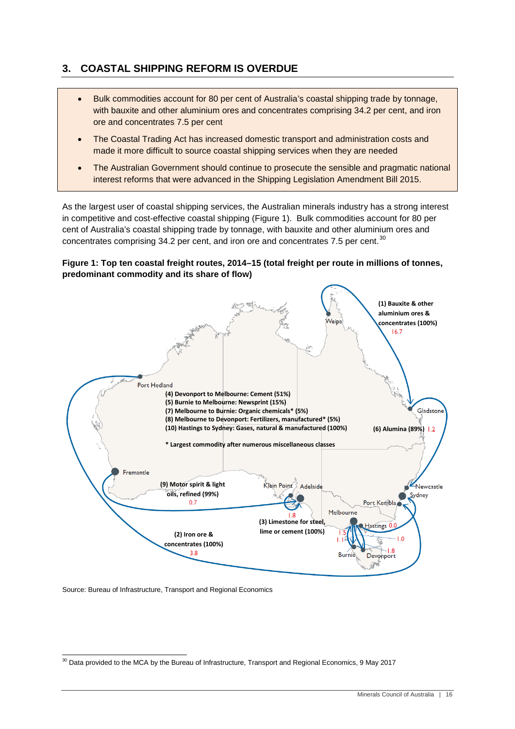## <span id="page-15-0"></span>**3. COASTAL SHIPPING REFORM IS OVERDUE**

- Bulk commodities account for 80 per cent of Australia's coastal shipping trade by tonnage, with bauxite and other aluminium ores and concentrates comprising 34.2 per cent, and iron ore and concentrates 7.5 per cent
- The Coastal Trading Act has increased domestic transport and administration costs and made it more difficult to source coastal shipping services when they are needed
- The Australian Government should continue to prosecute the sensible and pragmatic national interest reforms that were advanced in the Shipping Legislation Amendment Bill 2015.

As the largest user of coastal shipping services, the Australian minerals industry has a strong interest in competitive and cost-effective coastal shipping [\(Figure 1\)](#page-15-1). Bulk commodities account for 80 per cent of Australia's coastal shipping trade by tonnage, with bauxite and other aluminium ores and concentrates comprising 34.2 per cent, and iron ore and concentrates 7.5 per cent. $30$ 

<span id="page-15-1"></span>**Figure 1: Top ten coastal freight routes, 2014–15 (total freight per route in millions of tonnes, predominant commodity and its share of flow)**



<span id="page-15-2"></span>Source: Bureau of Infrastructure, Transport and Regional Economics

<sup>&</sup>lt;sup>30</sup> Data provided to the MCA by the Bureau of Infrastructure, Transport and Regional Economics, 9 May 2017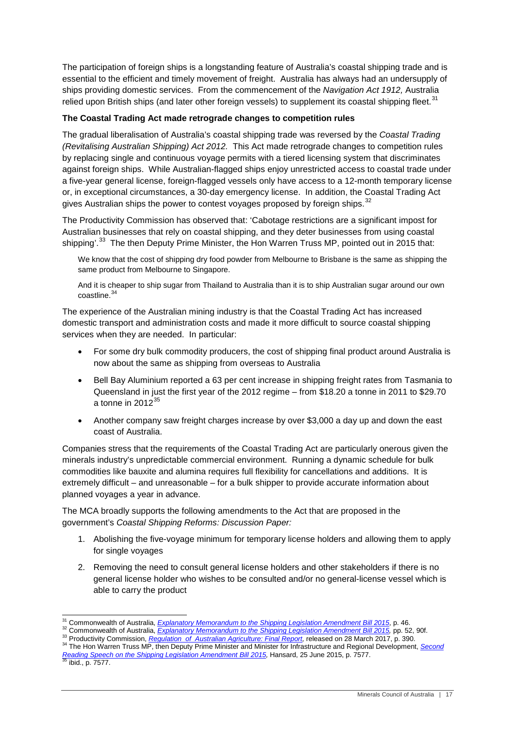The participation of foreign ships is a longstanding feature of Australia's coastal shipping trade and is essential to the efficient and timely movement of freight. Australia has always had an undersupply of ships providing domestic services. From the commencement of the *Navigation Act 1912,* Australia relied upon British ships (and later other foreign vessels) to supplement its coastal shipping fleet.<sup>[31](#page-15-2)</sup>

#### <span id="page-16-0"></span>**The Coastal Trading Act made retrograde changes to competition rules**

The gradual liberalisation of Australia's coastal shipping trade was reversed by the *Coastal Trading (Revitalising Australian Shipping) Act 2012.* This Act made retrograde changes to competition rules by replacing single and continuous voyage permits with a tiered licensing system that discriminates against foreign ships. While Australian-flagged ships enjoy unrestricted access to coastal trade under a five-year general license, foreign-flagged vessels only have access to a 12-month temporary license or, in exceptional circumstances, a 30-day emergency license. In addition, the Coastal Trading Act gives Australian ships the power to contest voyages proposed by foreign ships. $32$ 

The Productivity Commission has observed that: 'Cabotage restrictions are a significant impost for Australian businesses that rely on coastal shipping, and they deter businesses from using coastal shipping'.<sup>33</sup> The then Deputy Prime Minister, the Hon Warren Truss MP, pointed out in 2015 that:

We know that the cost of shipping dry food powder from Melbourne to Brisbane is the same as shipping the same product from Melbourne to Singapore.

And it is cheaper to ship sugar from Thailand to Australia than it is to ship Australian sugar around our own coastline.[34](#page-16-3)

The experience of the Australian mining industry is that the Coastal Trading Act has increased domestic transport and administration costs and made it more difficult to source coastal shipping services when they are needed. In particular:

- For some dry bulk commodity producers, the cost of shipping final product around Australia is now about the same as shipping from overseas to Australia
- Bell Bay Aluminium reported a 63 per cent increase in shipping freight rates from Tasmania to Queensland in just the first year of the 2012 regime – from \$18.20 a tonne in 2011 to \$29.70 a tonne in  $2012^{35}$  $2012^{35}$  $2012^{35}$
- Another company saw freight charges increase by over \$3,000 a day up and down the east coast of Australia.

Companies stress that the requirements of the Coastal Trading Act are particularly onerous given the minerals industry's unpredictable commercial environment. Running a dynamic schedule for bulk commodities like bauxite and alumina requires full flexibility for cancellations and additions. It is extremely difficult – and unreasonable – for a bulk shipper to provide accurate information about planned voyages a year in advance.

The MCA broadly supports the following amendments to the Act that are proposed in the government's *Coastal Shipping Reforms: Discussion Paper:*

- 1. Abolishing the five-voyage minimum for temporary license holders and allowing them to apply for single voyages
- 2. Removing the need to consult general license holders and other stakeholders if there is no general license holder who wishes to be consulted and/or no general-license vessel which is able to carry the product

<span id="page-16-1"></span>

<sup>&</sup>lt;sup>31</sup> Commonwealth of Australia, *Explanatory [Memorandum to the Shipping Legislation Amendment Bill](http://parlinfo.aph.gov.au/parlInfo/download/legislation/ems/r5495_ems_d26159f7-ed95-407e-ab4c-3ea6eebedde0/upload_pdf/503083.pdf;fileType=application%2Fpdf) 2015*, p. 46.<br><sup>32</sup> Commonwealth of Australia, *[Explanatory Memorandum to the Shipping Legislation Amendment Bill](http://parlinfo.aph.gov.au/parlInfo/download/legislation/ems/r5495_ems_d26159f7-ed95-407e-ab4c-3ea6eebedde0/upload_pdf/503083.pdf;fileType=application%2Fpdf) 2015*, pp.

<span id="page-16-3"></span><span id="page-16-2"></span>*[Reading Speech on the Shipping Legislation Amendment Bill 2015,](http://parlinfo.aph.gov.au/parlInfo/genpdf/chamber/hansardr/bcc6cf79-e37b-4f70-9a20-0ddc17522ca5/0026/hansard_frag.pdf;fileType=application%2Fpdf)* Hansard, 25 June 2015, p. 7577.<br><sup>35</sup> ibid., p. 7577.

<span id="page-16-4"></span>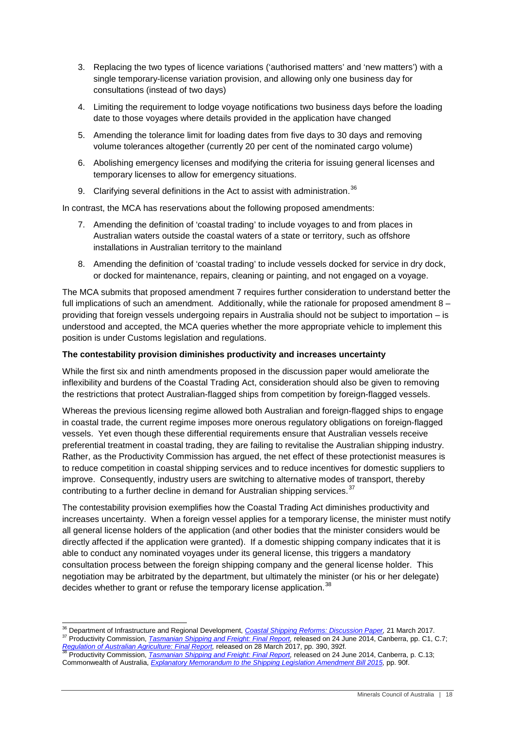- 3. Replacing the two types of licence variations ('authorised matters' and 'new matters') with a single temporary-license variation provision, and allowing only one business day for consultations (instead of two days)
- 4. Limiting the requirement to lodge voyage notifications two business days before the loading date to those voyages where details provided in the application have changed
- 5. Amending the tolerance limit for loading dates from five days to 30 days and removing volume tolerances altogether (currently 20 per cent of the nominated cargo volume)
- 6. Abolishing emergency licenses and modifying the criteria for issuing general licenses and temporary licenses to allow for emergency situations.
- 9. Clarifying several definitions in the Act to assist with administration.<sup>[36](#page-16-1)</sup>

In contrast, the MCA has reservations about the following proposed amendments:

- 7. Amending the definition of 'coastal trading' to include voyages to and from places in Australian waters outside the coastal waters of a state or territory, such as offshore installations in Australian territory to the mainland
- 8. Amending the definition of 'coastal trading' to include vessels docked for service in dry dock, or docked for maintenance, repairs, cleaning or painting, and not engaged on a voyage.

The MCA submits that proposed amendment 7 requires further consideration to understand better the full implications of such an amendment. Additionally, while the rationale for proposed amendment 8 – providing that foreign vessels undergoing repairs in Australia should not be subject to importation – is understood and accepted, the MCA queries whether the more appropriate vehicle to implement this position is under Customs legislation and regulations.

#### <span id="page-17-0"></span>**The contestability provision diminishes productivity and increases uncertainty**

While the first six and ninth amendments proposed in the discussion paper would ameliorate the inflexibility and burdens of the Coastal Trading Act, consideration should also be given to removing the restrictions that protect Australian-flagged ships from competition by foreign-flagged vessels.

Whereas the previous licensing regime allowed both Australian and foreign-flagged ships to engage in coastal trade, the current regime imposes more onerous regulatory obligations on foreign-flagged vessels. Yet even though these differential requirements ensure that Australian vessels receive preferential treatment in coastal trading, they are failing to revitalise the Australian shipping industry. Rather, as the Productivity Commission has argued, the net effect of these protectionist measures is to reduce competition in coastal shipping services and to reduce incentives for domestic suppliers to improve. Consequently, industry users are switching to alternative modes of transport, thereby contributing to a further decline in demand for Australian shipping services.<sup>[37](#page-17-1)</sup>

The contestability provision exemplifies how the Coastal Trading Act diminishes productivity and increases uncertainty. When a foreign vessel applies for a temporary license, the minister must notify all general license holders of the application (and other bodies that the minister considers would be directly affected if the application were granted). If a domestic shipping company indicates that it is able to conduct any nominated voyages under its general license, this triggers a mandatory consultation process between the foreign shipping company and the general license holder. This negotiation may be arbitrated by the department, but ultimately the minister (or his or her delegate) decides whether to grant or refuse the temporary license application.<sup>[38](#page-17-2)</sup>

<span id="page-17-3"></span><span id="page-17-1"></span><sup>&</sup>lt;sup>36</sup> Department of Infrastructure and Regional Development, [Coastal Shipping Reforms: Discussion Paper,](https://infrastructure.gov.au/maritime/business/coastal_shipping/files/Coastal_Shipping_Reforms_Discussion_Paper.pdf) 21 March 2017.<br><sup>37</sup> Productivity Commission, *[Tasmanian Shipping and Freight:](http://www.pc.gov.au/inquiries/completed/tasmanian-shipping/report/tasmanian-shipping.pdf) Final Report*, released on 24 June 2014, [Regulation of Australian Agriculture: Final Report,](http://www.pc.gov.au/inquiries/current/agriculture/draft/agriculture-draft.pdf) released on 28 March 2017, pp. 390, 392f.<br><sup>38</sup> Productivity Commission, <u>[Tasmanian Shipping and Freight:](http://www.pc.gov.au/inquiries/completed/tasmanian-shipping/report/tasmanian-shipping.pdf) Final Report</u>, released on 24 June 2014, Canberra, p. C.13;

<span id="page-17-2"></span>Commonwealth of Australia, *[Explanatory Memorandum to the Shipping Legislation Amendment Bill](http://parlinfo.aph.gov.au/parlInfo/download/legislation/ems/r5495_ems_d26159f7-ed95-407e-ab4c-3ea6eebedde0/upload_pdf/503083.pdf;fileType=application%2Fpdf) 2015,* pp. 90f.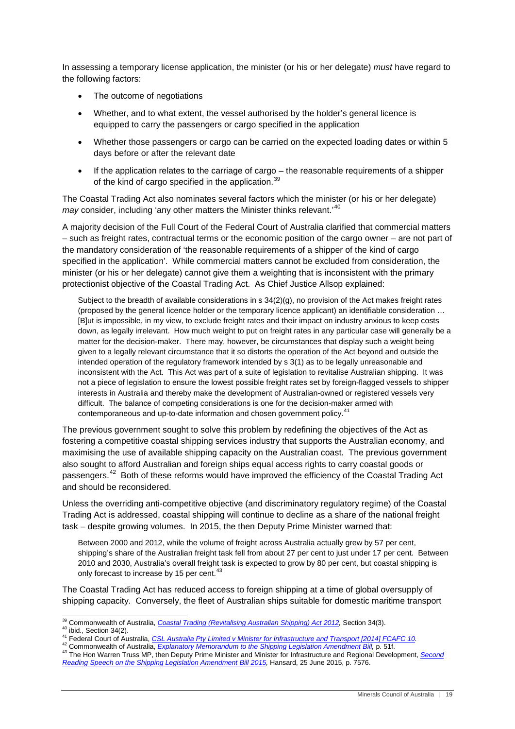In assessing a temporary license application, the minister (or his or her delegate) *must* have regard to the following factors:

- The outcome of negotiations
- Whether, and to what extent, the vessel authorised by the holder's general licence is equipped to carry the passengers or cargo specified in the application
- Whether those passengers or cargo can be carried on the expected loading dates or within 5 days before or after the relevant date
- If the application relates to the carriage of cargo the reasonable requirements of a shipper of the kind of cargo specified in the application.<sup>[39](#page-17-3)</sup>

The Coastal Trading Act also nominates several factors which the minister (or his or her delegate) *may* consider, including 'any other matters the Minister thinks relevant.<sup>40</sup>

A majority decision of the Full Court of the Federal Court of Australia clarified that commercial matters – such as freight rates, contractual terms or the economic position of the cargo owner – are not part of the mandatory consideration of 'the reasonable requirements of a shipper of the kind of cargo specified in the application'. While commercial matters cannot be excluded from consideration, the minister (or his or her delegate) cannot give them a weighting that is inconsistent with the primary protectionist objective of the Coastal Trading Act. As Chief Justice Allsop explained:

Subject to the breadth of available considerations in  $s$  34(2)(g), no provision of the Act makes freight rates (proposed by the general licence holder or the temporary licence applicant) an identifiable consideration … [B]ut is impossible, in my view, to exclude freight rates and their impact on industry anxious to keep costs down, as legally irrelevant. How much weight to put on freight rates in any particular case will generally be a matter for the decision-maker. There may, however, be circumstances that display such a weight being given to a legally relevant circumstance that it so distorts the operation of the Act beyond and outside the intended operation of the regulatory framework intended by s 3(1) as to be legally unreasonable and inconsistent with the Act. This Act was part of a suite of legislation to revitalise Australian shipping. It was not a piece of legislation to ensure the lowest possible freight rates set by foreign-flagged vessels to shipper interests in Australia and thereby make the development of Australian-owned or registered vessels very difficult. The balance of competing considerations is one for the decision-maker armed with contemporaneous and up-to-date information and chosen government policy.<sup>4</sup>

The previous government sought to solve this problem by redefining the objectives of the Act as fostering a competitive coastal shipping services industry that supports the Australian economy, and maximising the use of available shipping capacity on the Australian coast. The previous government also sought to afford Australian and foreign ships equal access rights to carry coastal goods or passengers.<sup>[42](#page-18-2)</sup> Both of these reforms would have improved the efficiency of the Coastal Trading Act and should be reconsidered.

Unless the overriding anti-competitive objective (and discriminatory regulatory regime) of the Coastal Trading Act is addressed, coastal shipping will continue to decline as a share of the national freight task – despite growing volumes. In 2015, the then Deputy Prime Minister warned that:

Between 2000 and 2012, while the volume of freight across Australia actually grew by 57 per cent, shipping's share of the Australian freight task fell from about 27 per cent to just under 17 per cent. Between 2010 and 2030, Australia's overall freight task is expected to grow by 80 per cent, but coastal shipping is only forecast to increase by 15 per cent.<sup>[43](#page-18-3)</sup>

The Coastal Trading Act has reduced access to foreign shipping at a time of global oversupply of shipping capacity. Conversely, the fleet of Australian ships suitable for domestic maritime transport

<span id="page-18-4"></span><span id="page-18-0"></span><sup>&</sup>lt;sup>39</sup> Commonwealth of Australia, *Coastal Trading (Revitalising Australian Shipping) Act 2012,* Section 34(3).<br><sup>40</sup> ibid., Section 34(2).<br><sup>41</sup> Federal Court of Australia, *CSL Australia Pty Limited v Minister for Infrastruc* 

<span id="page-18-1"></span>

<span id="page-18-3"></span><span id="page-18-2"></span>*[Reading Speech on the Shipping Legislation Amendment Bill 2015,](http://parlinfo.aph.gov.au/parlInfo/genpdf/chamber/hansardr/bcc6cf79-e37b-4f70-9a20-0ddc17522ca5/0026/hansard_frag.pdf;fileType=application%2Fpdf)* Hansard, 25 June 2015, p. 7576.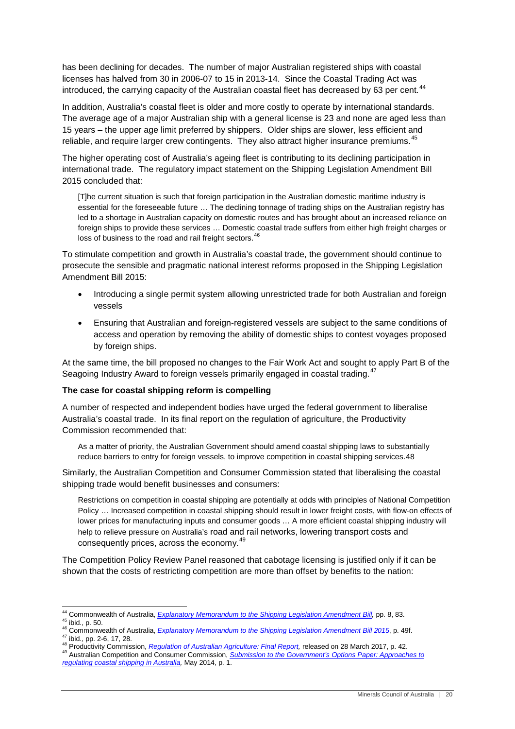has been declining for decades. The number of major Australian registered ships with coastal licenses has halved from 30 in 2006-07 to 15 in 2013-14. Since the Coastal Trading Act was introduced, the carrying capacity of the Australian coastal fleet has decreased by 63 per cent.<sup>[44](#page-18-4)</sup>

In addition, Australia's coastal fleet is older and more costly to operate by international standards. The average age of a major Australian ship with a general license is 23 and none are aged less than 15 years – the upper age limit preferred by shippers. Older ships are slower, less efficient and reliable, and require larger crew contingents. They also attract higher insurance premiums.<sup>45</sup>

The higher operating cost of Australia's ageing fleet is contributing to its declining participation in international trade. The regulatory impact statement on the Shipping Legislation Amendment Bill 2015 concluded that:

[T]he current situation is such that foreign participation in the Australian domestic maritime industry is essential for the foreseeable future … The declining tonnage of trading ships on the Australian registry has led to a shortage in Australian capacity on domestic routes and has brought about an increased reliance on foreign ships to provide these services … Domestic coastal trade suffers from either high freight charges or loss of business to the road and rail freight sectors.<sup>[46](#page-19-2)</sup>

To stimulate competition and growth in Australia's coastal trade, the government should continue to prosecute the sensible and pragmatic national interest reforms proposed in the Shipping Legislation Amendment Bill 2015:

- Introducing a single permit system allowing unrestricted trade for both Australian and foreign vessels
- Ensuring that Australian and foreign-registered vessels are subject to the same conditions of access and operation by removing the ability of domestic ships to contest voyages proposed by foreign ships.

At the same time, the bill proposed no changes to the Fair Work Act and sought to apply Part B of the Seagoing Industry Award to foreign vessels primarily engaged in coastal trading.<sup>[47](#page-19-3)</sup>

#### <span id="page-19-0"></span>**The case for coastal shipping reform is compelling**

A number of respected and independent bodies have urged the federal government to liberalise Australia's coastal trade. In its final report on the regulation of agriculture, the Productivity Commission recommended that:

As a matter of priority, the Australian Government should amend coastal shipping laws to substantially reduce barriers to entry for foreign vessels, to improve competition in coastal shipping services.[48](#page-19-4)

Similarly, the Australian Competition and Consumer Commission stated that liberalising the coastal shipping trade would benefit businesses and consumers:

Restrictions on competition in coastal shipping are potentially at odds with principles of National Competition Policy … Increased competition in coastal shipping should result in lower freight costs, with flow-on effects of lower prices for manufacturing inputs and consumer goods … A more efficient coastal shipping industry will help to relieve pressure on Australia's road and rail networks, lowering transport costs and consequently prices, across the economy.[49](#page-19-5)

The Competition Policy Review Panel reasoned that cabotage licensing is justified only if it can be shown that the costs of restricting competition are more than offset by benefits to the nation:

<span id="page-19-6"></span><span id="page-19-2"></span><span id="page-19-1"></span><sup>&</sup>lt;sup>44</sup> Commonwealth of Australia, *[Explanatory Memorandum to the Shipping Legislation Amendment Bill,](http://parlinfo.aph.gov.au/parlInfo/download/legislation/ems/r5495_ems_d26159f7-ed95-407e-ab4c-3ea6eebedde0/upload_pdf/503083.pdf;fileType=application%2Fpdf)* pp. 8, 83.<br><sup>45</sup> ibid., p. 50.<br><sup>46</sup> Commonwealth of Australia, *Explanatory Memorandum to the Shipping Legislation Amendme* 

<span id="page-19-4"></span><span id="page-19-3"></span>

<span id="page-19-5"></span>*[regulating coastal shipping in Australia,](https://www.accc.gov.au/system/files/ACCC%20submission%20to%20the%20Government%20s%20Options%20Paper%20Approaches%20to%20regulati....pdf)* May 2014, p. 1.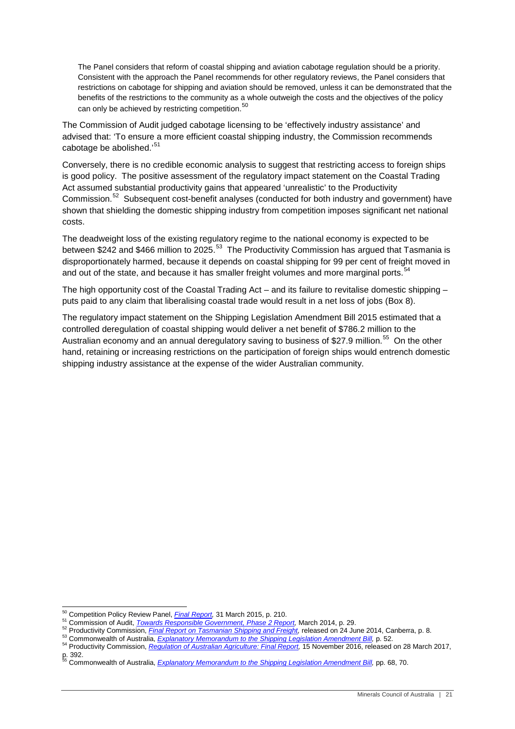The Panel considers that reform of coastal shipping and aviation cabotage regulation should be a priority. Consistent with the approach the Panel recommends for other regulatory reviews, the Panel considers that restrictions on cabotage for shipping and aviation should be removed, unless it can be demonstrated that the benefits of the restrictions to the community as a whole outweigh the costs and the objectives of the policy can only be achieved by restricting competition.<sup>[50](#page-19-6)</sup>

The Commission of Audit judged cabotage licensing to be 'effectively industry assistance' and advised that: 'To ensure a more efficient coastal shipping industry, the Commission recommends cabotage be abolished.'<sup>[51](#page-20-0)</sup>

Conversely, there is no credible economic analysis to suggest that restricting access to foreign ships is good policy. The positive assessment of the regulatory impact statement on the Coastal Trading Act assumed substantial productivity gains that appeared 'unrealistic' to the Productivity Commission.[52](#page-20-1) Subsequent cost-benefit analyses (conducted for both industry and government) have shown that shielding the domestic shipping industry from competition imposes significant net national costs.

The deadweight loss of the existing regulatory regime to the national economy is expected to be between \$242 and \$466 million to 2025.<sup>[53](#page-20-2)</sup> The Productivity Commission has argued that Tasmania is disproportionately harmed, because it depends on coastal shipping for 99 per cent of freight moved in and out of the state, and because it has smaller freight volumes and more marginal ports.<sup>5</sup>

The high opportunity cost of the Coastal Trading Act – and its failure to revitalise domestic shipping – puts paid to any claim that liberalising coastal trade would result in a net loss of jobs (Box 8).

The regulatory impact statement on the Shipping Legislation Amendment Bill 2015 estimated that a controlled deregulation of coastal shipping would deliver a net benefit of \$786.2 million to the Australian economy and an annual deregulatory saving to business of \$27.9 million.<sup>[55](#page-20-4)</sup> On the other hand, retaining or increasing restrictions on the participation of foreign ships would entrench domestic shipping industry assistance at the expense of the wider Australian community.

<span id="page-20-1"></span><span id="page-20-0"></span>

<sup>&</sup>lt;sup>50</sup> Competition Policy Review Panel, *Final Report*, 31 March 2015, p. 210.<br><sup>51</sup> Commission of Audit, *Towards Responsible Government, Phase 2 Report*, March 2014, p. 29.<br><sup>52</sup> Productivity Commission, *Final Report on Tas* 

<span id="page-20-2"></span>

<span id="page-20-3"></span>

<span id="page-20-5"></span><span id="page-20-4"></span>p. 392. <sup>55</sup> Commonwealth of Australia, *[Explanatory Memorandum to the Shipping Legislation Amendment Bill,](http://parlinfo.aph.gov.au/parlInfo/download/legislation/ems/r5495_ems_d26159f7-ed95-407e-ab4c-3ea6eebedde0/upload_pdf/503083.pdf;fileType=application%2Fpdf)* pp. 68, 70.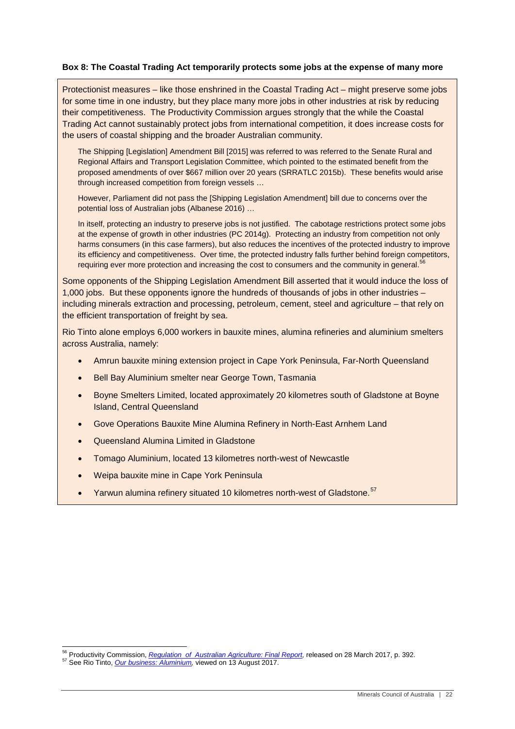#### **Box 8: The Coastal Trading Act temporarily protects some jobs at the expense of many more**

Protectionist measures – like those enshrined in the Coastal Trading Act – might preserve some jobs for some time in one industry, but they place many more jobs in other industries at risk by reducing their competitiveness. The Productivity Commission argues strongly that the while the Coastal Trading Act cannot sustainably protect jobs from international competition, it does increase costs for the users of coastal shipping and the broader Australian community.

The Shipping [Legislation] Amendment Bill [2015] was referred to was referred to the Senate Rural and Regional Affairs and Transport Legislation Committee, which pointed to the estimated benefit from the proposed amendments of over \$667 million over 20 years (SRRATLC 2015b). These benefits would arise through increased competition from foreign vessels …

However, Parliament did not pass the [Shipping Legislation Amendment] bill due to concerns over the potential loss of Australian jobs (Albanese 2016) …

In itself, protecting an industry to preserve jobs is not justified. The cabotage restrictions protect some jobs at the expense of growth in other industries (PC 2014g). Protecting an industry from competition not only harms consumers (in this case farmers), but also reduces the incentives of the protected industry to improve its efficiency and competitiveness. Over time, the protected industry falls further behind foreign competitors, requiring ever more protection and increasing the cost to consumers and the community in general.<sup>[56](#page-20-5)</sup>

Some opponents of the Shipping Legislation Amendment Bill asserted that it would induce the loss of 1,000 jobs. But these opponents ignore the hundreds of thousands of jobs in other industries – including minerals extraction and processing, petroleum, cement, steel and agriculture – that rely on the efficient transportation of freight by sea.

Rio Tinto alone employs 6,000 workers in bauxite mines, alumina refineries and aluminium smelters across Australia, namely:

- Amrun bauxite mining extension project in Cape York Peninsula, Far-North Queensland
- Bell Bay Aluminium smelter near George Town, Tasmania
- Boyne Smelters Limited, located approximately 20 kilometres south of Gladstone at Boyne Island, Central Queensland
- Gove Operations Bauxite Mine Alumina Refinery in North-East Arnhem Land
- Queensland Alumina Limited in Gladstone
- Tomago Aluminium, located 13 kilometres north-west of Newcastle
- Weipa bauxite mine in Cape York Peninsula
- Yarwun alumina refinery situated 10 kilometres north-west of Gladstone.<sup>[57](#page-21-0)</sup>

<span id="page-21-1"></span><span id="page-21-0"></span><sup>&</sup>lt;sup>56</sup> Productivity Commission, *[Regulation of Australian Agriculture: Final Report,](http://www.pc.gov.au/inquiries/completed/agriculture/report/agriculture.pdf)* released on 28 March 2017, p. 392.<br><sup>57</sup> See Rio Tinto, *<u>Our business: Aluminium</u>,* viewed on 13 August 2017.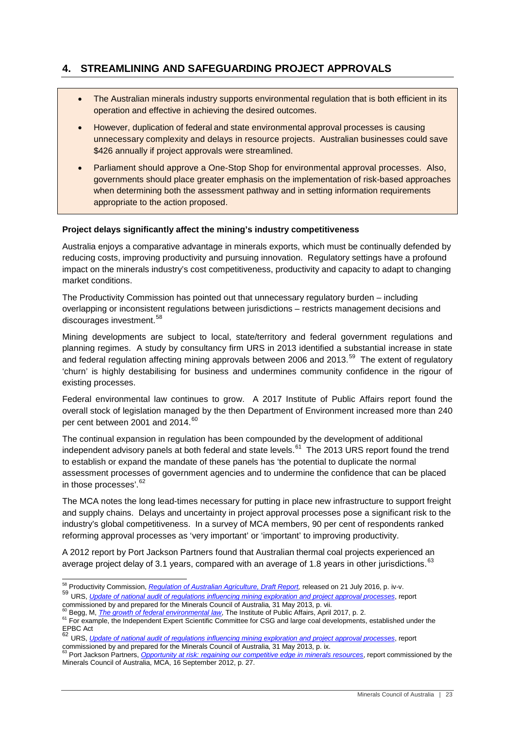## <span id="page-22-0"></span>**4. STREAMLINING AND SAFEGUARDING PROJECT APPROVALS**

- The Australian minerals industry supports environmental regulation that is both efficient in its operation and effective in achieving the desired outcomes.
- However, duplication of federal and state environmental approval processes is causing unnecessary complexity and delays in resource projects. Australian businesses could save \$426 annually if project approvals were streamlined.
- Parliament should approve a One-Stop Shop for environmental approval processes. Also, governments should place greater emphasis on the implementation of risk-based approaches when determining both the assessment pathway and in setting information requirements appropriate to the action proposed.

#### <span id="page-22-1"></span>**Project delays significantly affect the mining's industry competitiveness**

Australia enjoys a comparative advantage in minerals exports, which must be continually defended by reducing costs, improving productivity and pursuing innovation. Regulatory settings have a profound impact on the minerals industry's cost competitiveness, productivity and capacity to adapt to changing market conditions.

The Productivity Commission has pointed out that unnecessary regulatory burden – including overlapping or inconsistent regulations between jurisdictions – restricts management decisions and discourages investment.<sup>58</sup>

Mining developments are subject to local, state/territory and federal government regulations and planning regimes. A study by consultancy firm URS in 2013 identified a substantial increase in state and federal regulation affecting mining approvals between 2006 and 2013.<sup>59</sup> The extent of regulatory 'churn' is highly destabilising for business and undermines community confidence in the rigour of existing processes.

Federal environmental law continues to grow. A 2017 Institute of Public Affairs report found the overall stock of legislation managed by the then Department of Environment increased more than 240 per cent between 2001 and 2014.<sup>[60](#page-22-3)</sup>

The continual expansion in regulation has been compounded by the development of additional independent advisory panels at both federal and state levels. $61$  The 2013 URS report found the trend to establish or expand the mandate of these panels has 'the potential to duplicate the normal assessment processes of government agencies and to undermine the confidence that can be placed in those processes'.<sup>[62](#page-22-5)</sup>

The MCA notes the long lead-times necessary for putting in place new infrastructure to support freight and supply chains. Delays and uncertainty in project approval processes pose a significant risk to the industry's global competitiveness. In a survey of MCA members, 90 per cent of respondents ranked reforming approval processes as 'very important' or 'important' to improving productivity.

A 2012 report by Port Jackson Partners found that Australian thermal coal projects experienced an average project delay of 3.1 years, compared with an average of 1.8 years in other jurisdictions. <sup>63</sup>

<span id="page-22-2"></span><sup>&</sup>lt;sup>58</sup> Productivity Commission, *[Regulation of Australian Agriculture, Draft Report,](http://www.pc.gov.au/inquiries/current/agriculture/draft/agriculture-draft.pdf)* released on 21 July 2016, p. iv-v.<br><sup>59</sup> URS, *Update of national audit of regulations influencing mining [exploration](http://www.minerals.org.au/file_upload/files/reports/2012_Update_of_2006_National_Mining_Regulation_Audit_Final_Report.pdf) and project approval* 

<span id="page-22-7"></span><span id="page-22-4"></span><span id="page-22-3"></span> $^{60}$  Begg, M, *[The growth of federal environmental law](https://www.ipa.org.au/wp-content/uploads/2017/05/IPA_Report_Growth_Of_Federal_Environmental_Law_170430.pdf)*, The Institute of Public Affairs, April 2017, p. 2.<br><sup>61</sup> For example, the Independent Expert Scientific Committee for CSG and large coal developments, established EPBC Act

<span id="page-22-5"></span><sup>62</sup> URS, *Update of national audit of regulations influencing mining [exploration](http://www.minerals.org.au/file_upload/files/reports/2012_Update_of_2006_National_Mining_Regulation_Audit_Final_Report.pdf) and project approval processes*, report commissioned by and prepared for the Minerals Council of Australia, 31 May 2013, p. ix.<br><sup>63</sup> Port Jackson Partners, *[Opportunity at risk: regaining our competitive edge in minerals resources](http://www.minerals.org.au/file_upload/files/presentations/mca_opportunity_at_risk_FINAL.pdf)*, report commissioned by the

<span id="page-22-6"></span>Minerals Council of Australia, MCA, 16 September 2012, p. 27.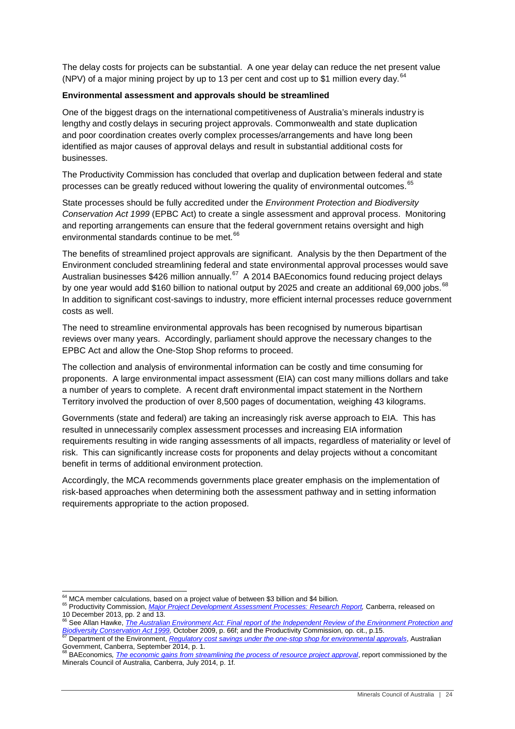The delay costs for projects can be substantial. A one year delay can reduce the net present value (NPV) of a major mining project by up to 13 per cent and cost up to \$1 million every day.  $64$ 

#### <span id="page-23-0"></span>**Environmental assessment and approvals should be streamlined**

One of the biggest drags on the international competitiveness of Australia's minerals industry is lengthy and costly delays in securing project approvals. Commonwealth and state duplication and poor coordination creates overly complex processes/arrangements and have long been identified as major causes of approval delays and result in substantial additional costs for businesses.

The Productivity Commission has concluded that overlap and duplication between federal and state processes can be greatly reduced without lowering the quality of environmental outcomes.<sup>[65](#page-23-1)</sup>

State processes should be fully accredited under the *Environment Protection and Biodiversity Conservation Act 1999* (EPBC Act) to create a single assessment and approval process. Monitoring and reporting arrangements can ensure that the federal government retains oversight and high environmental standards continue to be met.<sup>[66](#page-23-2)</sup>

The benefits of streamlined project approvals are significant. Analysis by the then Department of the Environment concluded streamlining federal and state environmental approval processes would save Australian businesses \$426 million annually.<sup>67</sup> A 2014 BAEconomics found reducing project delays by one year would add \$160 billion to national output by 2025 and create an additional 69,000 iobs.<sup>[68](#page-23-4)</sup> In addition to significant cost-savings to industry, more efficient internal processes reduce government costs as well.

The need to streamline environmental approvals has been recognised by numerous bipartisan reviews over many years. Accordingly, parliament should approve the necessary changes to the EPBC Act and allow the One-Stop Shop reforms to proceed.

The collection and analysis of environmental information can be costly and time consuming for proponents. A large environmental impact assessment (EIA) can cost many millions dollars and take a number of years to complete. A recent draft environmental impact statement in the Northern Territory involved the production of over 8,500 pages of documentation, weighing 43 kilograms.

Governments (state and federal) are taking an increasingly risk averse approach to EIA. This has resulted in unnecessarily complex assessment processes and increasing EIA information requirements resulting in wide ranging assessments of all impacts, regardless of materiality or level of risk. This can significantly increase costs for proponents and delay projects without a concomitant benefit in terms of additional environment protection.

Accordingly, the MCA recommends governments place greater emphasis on the implementation of risk-based approaches when determining both the assessment pathway and in setting information requirements appropriate to the action proposed.

<span id="page-23-1"></span><sup>&</sup>lt;sup>64</sup> MCA member calculations, based on a project value of between \$3 billion and \$4 billion.<br><sup>65</sup> Productivity Commission, *<u>Major Project Development Assessment Processes: Research Report</u>, Canberra, released on* 10 December 2013, pp. 2 and 13.

<span id="page-23-5"></span><span id="page-23-2"></span><sup>&</sup>lt;sup>66</sup> See Allan Hawke, *[The Australian Environment Act: Final report of the Independent Review of the Environment Protection](http://www.environment.gov.au/system/files/resources/5f3fdad6-30ba-48f7-ab17-c99e8bcc8d78/files/final-report.pdf) and Biodiversity Conservation Act 1999, October 2009, p. 66f; and the Productivity Commission, op.* 

<span id="page-23-3"></span>Department of the Environment, [Regulatory cost savings under the one-stop shop for environmental approvals](https://www.environment.gov.au/system/files/resources/c3954859-fca6-4728-a97b-c17f90f6142c/files/regulatory-cost-savings-oss.pdf), Australian Government, Canberra, September 2014, p. 1. <sup>68</sup> BAEconomics*, [The economic gains from streamlining the process of resource project approval](http://www.minerals.org.au/file_upload/files/reports/BAEconomics_Gains_from_reduced_delays_18_Aug_2014.pdf)*, report commissioned by the

<span id="page-23-4"></span>Minerals Council of Australia, Canberra, July 2014, p. 1f.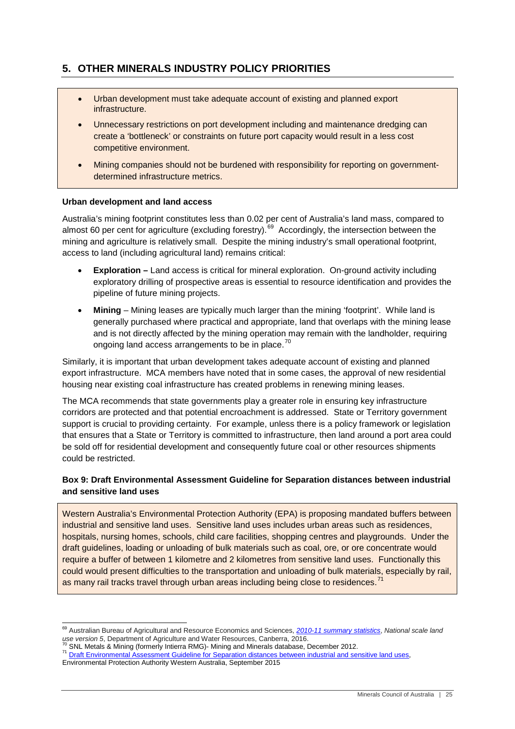## <span id="page-24-0"></span>**5. OTHER MINERALS INDUSTRY POLICY PRIORITIES**

- Urban development must take adequate account of existing and planned export infrastructure.
- Unnecessary restrictions on port development including and maintenance dredging can create a 'bottleneck' or constraints on future port capacity would result in a less cost competitive environment.
- Mining companies should not be burdened with responsibility for reporting on governmentdetermined infrastructure metrics.

#### <span id="page-24-1"></span>**Urban development and land access**

Australia's mining footprint constitutes less than 0.02 per cent of Australia's land mass, compared to almost 60 per cent for agriculture (excluding forestry).<sup>69</sup> Accordingly, the intersection between the mining and agriculture is relatively small. Despite the mining industry's small operational footprint, access to land (including agricultural land) remains critical:

- **Exploration –** Land access is critical for mineral exploration. On-ground activity including exploratory drilling of prospective areas is essential to resource identification and provides the pipeline of future mining projects.
- **Mining** Mining leases are typically much larger than the mining 'footprint'. While land is generally purchased where practical and appropriate, land that overlaps with the mining lease and is not directly affected by the mining operation may remain with the landholder, requiring ongoing land access arrangements to be in place.<sup>[70](#page-24-2)</sup>

Similarly, it is important that urban development takes adequate account of existing and planned export infrastructure. MCA members have noted that in some cases, the approval of new residential housing near existing coal infrastructure has created problems in renewing mining leases.

The MCA recommends that state governments play a greater role in ensuring key infrastructure corridors are protected and that potential encroachment is addressed. State or Territory government support is crucial to providing certainty. For example, unless there is a policy framework or legislation that ensures that a State or Territory is committed to infrastructure, then land around a port area could be sold off for residential development and consequently future coal or other resources shipments could be restricted.

#### **Box 9: Draft Environmental Assessment Guideline for Separation distances between industrial and sensitive land uses**

Western Australia's Environmental Protection Authority (EPA) is proposing mandated buffers between industrial and sensitive land uses. Sensitive land uses includes urban areas such as residences, hospitals, nursing homes, schools, child care facilities, shopping centres and playgrounds. Under the draft guidelines, loading or unloading of bulk materials such as coal, ore, or ore concentrate would require a buffer of between 1 kilometre and 2 kilometres from sensitive land uses. Functionally this could would present difficulties to the transportation and unloading of bulk materials, especially by rail, as many rail tracks travel through urban areas including being close to residences.<sup>[71](#page-24-3)</sup>

<sup>&</sup>lt;sup>69</sup> Australian Bureau of Agricultural and Resource Economics and Sciences, *[2010-11 summary statistics](http://www.agriculture.gov.au/abares/aclump/Documents/2010-11%20nlum%20summary%20statistics.pdf)*, *National scale land use version 5*, Department of Agriculture and Water Resources, Canberra, 2016.

<span id="page-24-3"></span>

<span id="page-24-2"></span>*use version 5*, Department of Agriculture and Water Resources, Canberra, 2016.<br><sup>70</sup> SNL Metals & Mining (formerly Intierra RMG)- Mining and Minerals database, December 2012.<br><sup>71</sup> <u>Draft Environmental Assessment Guideline </u>

Environmental Protection Authority Western Australia, September 2015